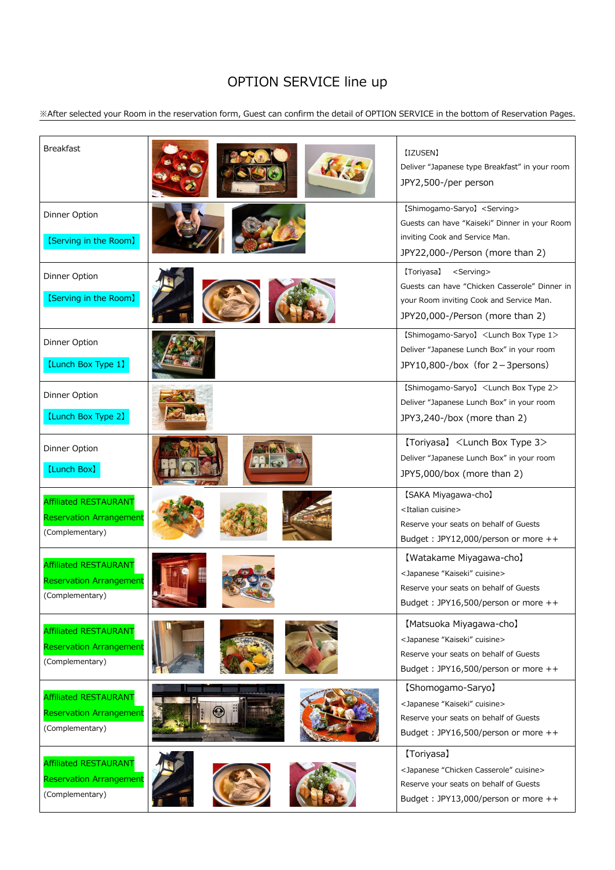## OPTION SERVICE line up

※After selected your Room in the reservation form, Guest can confirm the detail of OPTION SERVICE in the bottom of Reservation Pages.

| <b>Breakfast</b>                                                                  |               | [IZUSEN]<br>Deliver "Japanese type Breakfast" in your room<br>JPY2,500-/per person                                                                                       |
|-----------------------------------------------------------------------------------|---------------|--------------------------------------------------------------------------------------------------------------------------------------------------------------------------|
| Dinner Option<br>[Serving in the Room]                                            |               | [Shimogamo-Saryo] <serving><br/>Guests can have "Kaiseki" Dinner in your Room<br/>inviting Cook and Service Man.<br/>JPY22,000-/Person (more than 2)</serving>           |
| Dinner Option<br>[Serving in the Room]                                            |               | [Toriyasa]<br><serving><br/>Guests can have "Chicken Casserole" Dinner in<br/>your Room inviting Cook and Service Man.<br/>JPY20,000-/Person (more than 2)</serving>     |
| Dinner Option<br>[Lunch Box Type 1]                                               |               | [Shimogamo-Saryo] <lunch 1="" box="" type=""><br/>Deliver "Japanese Lunch Box" in your room<br/>JPY10,800-/box (for 2-3 persons)</lunch>                                 |
| <b>Dinner Option</b><br>[Lunch Box Type 2]                                        |               | [Shimogamo-Saryo] <lunch 2="" box="" type=""><br/>Deliver "Japanese Lunch Box" in your room<br/>JPY3,240-/box (more than 2)</lunch>                                      |
| Dinner Option<br><b>[Lunch Box]</b>                                               | <b>ERLEST</b> | (Toriyasa) <lunch 3="" box="" type=""><br/>Deliver "Japanese Lunch Box" in your room<br/>JPY5,000/box (more than 2)</lunch>                                              |
| <b>Affiliated RESTAURANT</b><br><b>Reservation Arrangement</b><br>(Complementary) |               | [SAKA Miyagawa-cho]<br><italian cuisine=""><br/>Reserve your seats on behalf of Guests<br/>Budget: JPY12,000/person or more <math>++</math></italian>                    |
| <b>Affiliated RESTAURANT</b><br><b>Reservation Arrangement</b><br>(Complementary) |               | [Watakame Miyagawa-cho]<br><japanese "kaiseki"="" cuisine=""><br/>Reserve your seats on behalf of Guests<br/>Budget: JPY16,500/person or more <math>++</math></japanese> |
| <b>Affiliated RESTAURANT</b><br><b>Reservation Arrangement</b><br>(Complementary) |               | [Matsuoka Miyagawa-cho]<br><japanese "kaiseki"="" cuisine=""><br/>Reserve your seats on behalf of Guests<br/>Budget: JPY16,500/person or more <math>++</math></japanese> |
| <b>Affiliated RESTAURANT</b><br><b>Reservation Arrangement</b><br>(Complementary) |               | [Shomogamo-Saryo]<br><japanese "kaiseki"="" cuisine=""><br/>Reserve your seats on behalf of Guests<br/>Budget: JPY16,500/person or more <math>++</math></japanese>       |
| <b>Affiliated RESTAURANT</b><br><b>Reservation Arrangement</b><br>(Complementary) |               | [Toriyasa]<br><japanese "chicken="" casserole"="" cuisine=""><br/>Reserve your seats on behalf of Guests<br/>Budget: JPY13,000/person or more <math>++</math></japanese> |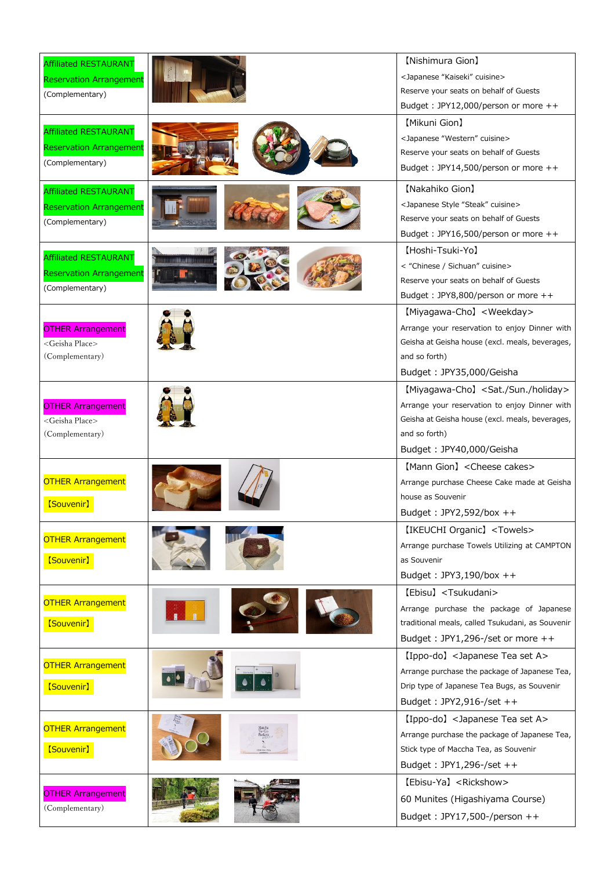| <b>Affiliated RESTAURANT</b><br><b>Reservation Arrangement</b><br>(Complementary)<br><b>Affiliated RESTAURANT</b><br><b>Reservation Arrangement</b> |                                               | [Nishimura Gion]<br><japanese "kaiseki"="" cuisine=""><br/>Reserve your seats on behalf of Guests<br/>Budget: JPY12,000/person or more <math>++</math><br/>[Mikuni Gion]<br/><japanese "western"="" cuisine=""><br/>Reserve your seats on behalf of Guests</japanese></japanese> |
|-----------------------------------------------------------------------------------------------------------------------------------------------------|-----------------------------------------------|----------------------------------------------------------------------------------------------------------------------------------------------------------------------------------------------------------------------------------------------------------------------------------|
| (Complementary)<br><b>Affiliated RESTAURANT</b>                                                                                                     |                                               | Budget: JPY14,500/person or more $++$<br>[Nakahiko Gion]                                                                                                                                                                                                                         |
| <b>Reservation Arrangement</b><br>(Complementary)                                                                                                   |                                               | <japanese "steak"="" cuisine="" style=""><br/>Reserve your seats on behalf of Guests<br/>Budget: JPY16,500/person or more <math>++</math></japanese>                                                                                                                             |
| <b>Affiliated RESTAURANT</b><br><b>Reservation Arrangement</b><br>(Complementary)                                                                   |                                               | [Hoshi-Tsuki-Yo]<br>< "Chinese / Sichuan" cuisine><br>Reserve your seats on behalf of Guests<br>Budget: JPY8,800/person or more $++$                                                                                                                                             |
| <b>OTHER Arrangement</b><br><geisha place=""><br/>(Complementary)</geisha>                                                                          |                                               | [Miyagawa-Cho] < Weekday ><br>Arrange your reservation to enjoy Dinner with<br>Geisha at Geisha house (excl. meals, beverages,<br>and so forth)                                                                                                                                  |
| <b>OTHER Arrangement</b><br><geisha place=""><br/>(Complementary)</geisha>                                                                          |                                               | Budget: JPY35,000/Geisha<br>[Miyagawa-Cho] <sat. holiday="" sun.=""><br/>Arrange your reservation to enjoy Dinner with<br/>Geisha at Geisha house (excl. meals, beverages,<br/>and so forth)</sat.>                                                                              |
|                                                                                                                                                     |                                               | Budget: JPY40,000/Geisha                                                                                                                                                                                                                                                         |
| <b>OTHER Arrangement</b><br>[Souvenir]                                                                                                              |                                               | [Mann Gion] < Cheese cakes><br>Arrange purchase Cheese Cake made at Geisha<br>house as Souvenir                                                                                                                                                                                  |
| <b>OTHER Arrangement</b><br>[Souvenir]                                                                                                              |                                               | Budget: $JPY2,592/box++$<br>[IKEUCHI Organic] <towels><br/>Arrange purchase Towels Utilizing at CAMPTON<br/>as Souvenir<br/>Budget: <math>JPY3,190/box++</math></towels>                                                                                                         |
| <b>OTHER Arrangement</b><br>[Souvenir]                                                                                                              |                                               | [Ebisu] <tsukudani><br/>Arrange purchase the package of Japanese<br/>traditional meals, called Tsukudani, as Souvenir<br/>Budget: JPY1,296-/set or more <math>++</math></tsukudani>                                                                                              |
| <b>OTHER Arrangement</b><br>[Souvenir]                                                                                                              |                                               | [Ippo-do] <japanese a="" set="" tea=""><br/>Arrange purchase the package of Japanese Tea,<br/>Drip type of Japanese Tea Bugs, as Souvenir<br/>Budget: <math>JPY2,916-/set++</math></japanese>                                                                                    |
| <b>OTHER Arrangement</b><br>[Souvenir]                                                                                                              | Matcha<br>To-Go<br>Packets<br>$\frac{1}{148}$ | [Ippo-do] <japanese a="" set="" tea=""><br/>Arrange purchase the package of Japanese Tea,<br/>Stick type of Maccha Tea, as Souvenir<br/>Budget: JPY1,296-/set <math>++</math></japanese>                                                                                         |
| <b>OTHER Arrangement</b><br>(Complementary)                                                                                                         |                                               | [Ebisu-Ya] <rickshow><br/>60 Munites (Higashiyama Course)<br/>Budget: JPY17,500-/person ++</rickshow>                                                                                                                                                                            |